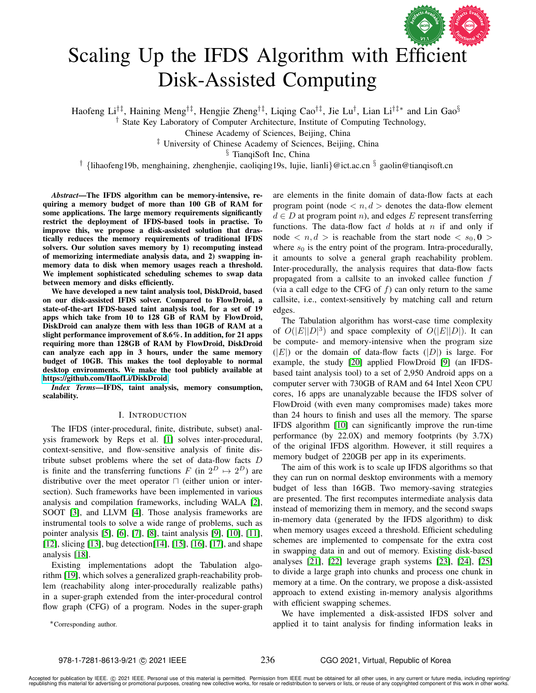

# Scaling Up the IFDS Algorithm with Efficient Disk-Assisted Computing

Haofeng Li†‡, Haining Meng†‡, Hengjie Zheng†‡, Liqing Cao†‡, Jie Lu† , Lian Li†‡∗ and Lin Gao§

† State Key Laboratory of Computer Architecture, Institute of Computing Technology,

Chinese Academy of Sciences, Beijing, China

‡ University of Chinese Academy of Sciences, Beijing, China

§ TianqiSoft Inc, China

<sup>†</sup> {lihaofeng19b, menghaining, zhenghenjie, caoliqing19s, lujie, lianli}@ict.ac.cn <sup>§</sup> gaolin@tianqisoft.cn

*Abstract*—The IFDS algorithm can be memory-intensive, requiring a memory budget of more than 100 GB of RAM for some applications. The large memory requirements significantly restrict the deployment of IFDS-based tools in practise. To improve this, we propose a disk-assisted solution that drastically reduces the memory requirements of traditional IFDS solvers. Our solution saves memory by 1) recomputing instead of memorizing intermediate analysis data, and 2) swapping inmemory data to disk when memory usages reach a threshold. We implement sophisticated scheduling schemes to swap data between memory and disks efficiently.

We have developed a new taint analysis tool, DiskDroid, based on our disk-assisted IFDS solver. Compared to FlowDroid, a state-of-the-art IFDS-based taint analysis tool, for a set of 19 apps which take from 10 to 128 GB of RAM by FlowDroid, DiskDroid can analyze them with less than 10GB of RAM at a slight performance improvement of 8.6%. In addition, for 21 apps requiring more than 128GB of RAM by FlowDroid, DiskDroid can analyze each app in 3 hours, under the same memory budget of 10GB. This makes the tool deployable to normal desktop environments. We make the tool publicly available at [https://github.com/HaofLi/DiskDroid.](https://github.com/HaofLi/DiskDroid)

*Index Terms*—IFDS, taint analysis, memory consumption, scalability.

## I. INTRODUCTION

The IFDS (inter-procedural, finite, distribute, subset) analysis framework by Reps et al. [\[1\]](#page-10-0) solves inter-procedural, context-sensitive, and flow-sensitive analysis of finite distribute subset problems where the set of data-flow facts D is finite and the transferring functions F (in  $2^D \mapsto 2^D$ ) are distributive over the meet operator  $\sqcap$  (either union or intersection). Such frameworks have been implemented in various analysis and compilation frameworks, including WALA [\[2\]](#page-10-1), SOOT [\[3\]](#page-10-2), and LLVM [\[4\]](#page-10-3). Those analysis frameworks are instrumental tools to solve a wide range of problems, such as pointer analysis [\[5\]](#page-10-4), [\[6\]](#page-10-5), [\[7\]](#page-10-6), [\[8\]](#page-10-7), taint analysis [\[9\]](#page-10-8), [\[10\]](#page-10-9), [\[11\]](#page-10-10), [\[12\]](#page-11-0), slicing [\[13\]](#page-11-1), bug detection[\[14\]](#page-11-2), [\[15\]](#page-11-3), [\[16\]](#page-11-4), [\[17\]](#page-11-5), and shape analysis [\[18\]](#page-11-6).

Existing implementations adopt the Tabulation algorithm [\[19\]](#page-11-7), which solves a generalized graph-reachability problem (reachability along inter-procedurally realizable paths) in a super-graph extended from the inter-procedural control flow graph (CFG) of a program. Nodes in the super-graph

∗Corresponding author.

are elements in the finite domain of data-flow facts at each program point (node  $\langle n, d \rangle$  denotes the data-flow element  $d \in D$  at program point n), and edges E represent transferring functions. The data-flow fact  $d$  holds at  $n$  if and only if node  $\langle n, d \rangle$  is reachable from the start node  $\langle s_0, \mathbf{0} \rangle$ where  $s_0$  is the entry point of the program. Intra-procedurally, it amounts to solve a general graph reachability problem. Inter-procedurally, the analysis requires that data-flow facts propagated from a callsite to an invoked callee function  $f$ (via a call edge to the CFG of  $f$ ) can only return to the same callsite, i.e., context-sensitively by matching call and return edges.

The Tabulation algorithm has worst-case time complexity of  $O(|E||D|^3)$  and space complexity of  $O(|E||D|)$ . It can be compute- and memory-intensive when the program size  $(|E|)$  or the domain of data-flow facts  $(|D|)$  is large. For example, the study [\[20\]](#page-11-8) applied FlowDroid [\[9\]](#page-10-8) (an IFDSbased taint analysis tool) to a set of 2,950 Android apps on a computer server with 730GB of RAM and 64 Intel Xeon CPU cores, 16 apps are unanalyzable because the IFDS solver of FlowDroid (with even many compromises made) takes more than 24 hours to finish and uses all the memory. The sparse IFDS algorithm [\[10\]](#page-10-9) can significantly improve the run-time performance (by 22.0X) and memory footprints (by 3.7X) of the original IFDS algorithm. However, it still requires a memory budget of 220GB per app in its experiments.

The aim of this work is to scale up IFDS algorithms so that they can run on normal desktop environments with a memory budget of less than 16GB. Two memory-saving strategies are presented. The first recomputes intermediate analysis data instead of memorizing them in memory, and the second swaps in-memory data (generated by the IFDS algorithm) to disk when memory usages exceed a threshold. Efficient scheduling schemes are implemented to compensate for the extra cost in swapping data in and out of memory. Existing disk-based analyses [\[21\]](#page-11-9), [\[22\]](#page-11-10) leverage graph systems [\[23\]](#page-11-11), [\[24\]](#page-11-12), [\[25\]](#page-11-13) to divide a large graph into chunks and process one chunk in memory at a time. On the contrary, we propose a disk-assisted approach to extend existing in-memory analysis algorithms with efficient swapping schemes.

We have implemented a disk-assisted IFDS solver and applied it to taint analysis for finding information leaks in

236

Accepted for publication by IEEE. © 2021 IEEE. Personal use of this material is permitted. Permission from IEEE must be obtained for all other uses, in any current or future media, including reprinting/<br>republishing this m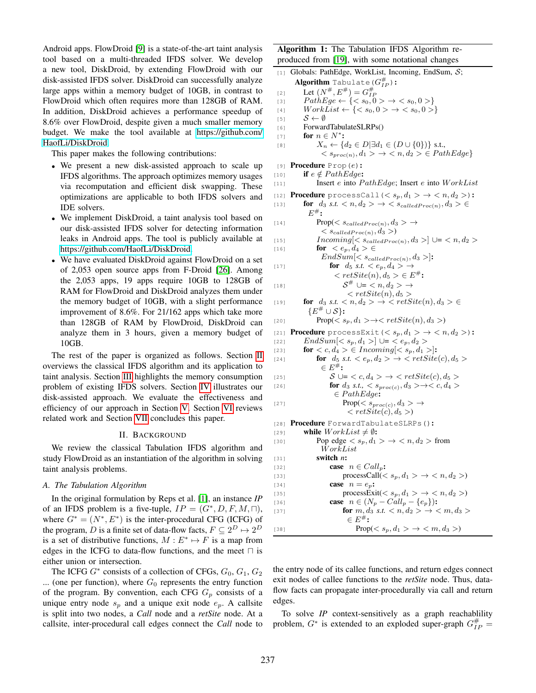Android apps. FlowDroid [\[9\]](#page-10-8) is a state-of-the-art taint analysis tool based on a multi-threaded IFDS solver. We develop a new tool, DiskDroid, by extending FlowDroid with our disk-assisted IFDS solver. DiskDroid can successfully analyze large apps within a memory budget of 10GB, in contrast to FlowDroid which often requires more than 128GB of RAM. In addition, DiskDroid achieves a performance speedup of 8.6% over FlowDroid, despite given a much smaller memory budget. We make the tool available at [https://github.com/](https://github.com/HaofLi/DiskDroid) [HaofLi/DiskDroid.](https://github.com/HaofLi/DiskDroid)

This paper makes the following contributions:

- We present a new disk-assisted approach to scale up IFDS algorithms. The approach optimizes memory usages via recomputation and efficient disk swapping. These optimizations are applicable to both IFDS solvers and IDE solvers.
- We implement DiskDroid, a taint analysis tool based on our disk-assisted IFDS solver for detecting information leaks in Android apps. The tool is publicly available at [https://github.com/HaofLi/DiskDroid.](https://github.com/HaofLi/DiskDroid)
- We have evaluated DiskDroid against FlowDroid on a set of 2,053 open source apps from F-Droid [\[26\]](#page-11-14). Among the 2,053 apps, 19 apps require 10GB to 128GB of RAM for FlowDroid and DiskDroid analyzes them under the memory budget of 10GB, with a slight performance improvement of 8.6%. For 21/162 apps which take more than 128GB of RAM by FlowDroid, DiskDroid can analyze them in 3 hours, given a memory budget of 10GB.

The rest of the paper is organized as follows. Section [II](#page-1-0) overviews the classical IFDS algorithm and its application to taint analysis. Section [III](#page-3-0) highlights the memory consumption problem of existing IFDS solvers. Section [IV](#page-4-0) illustrates our disk-assisted approach. We evaluate the effectiveness and efficiency of our approach in Section [V.](#page-6-0) Section [VI](#page-8-0) reviews related work and Section [VII](#page-9-0) concludes this paper.

# II. BACKGROUND

<span id="page-1-0"></span>We review the classical Tabulation IFDS algorithm and study FlowDroid as an instantiation of the algorithm in solving taint analysis problems.

## *A. The Tabulation Algorithm*

In the original formulation by Reps et al. [\[1\]](#page-10-0), an instance *IP* of an IFDS problem is a five-tuple,  $IP = (G^*, D, F, M, \Box)$ , where  $G^* = (N^*, E^*)$  is the inter-procedural CFG (ICFG) of the program, D is a finite set of data-flow facts,  $F \subseteq 2^D \mapsto 2^D$ is a set of distributive functions,  $M : E^* \mapsto F$  is a map from edges in the ICFG to data-flow functions, and the meet  $\sqcap$  is either union or intersection.

The ICFG  $G^*$  consists of a collection of CFGs,  $G_0$ ,  $G_1$ ,  $G_2$ ... (one per function), where  $G_0$  represents the entry function of the program. By convention, each CFG  $G_p$  consists of a unique entry node  $s_p$  and a unique exit node  $e_p$ . A callsite is split into two nodes, a *Call* node and a *retSite* node. At a callsite, inter-procedural call edges connect the *Call* node to Algorithm 1: The Tabulation IFDS Algorithm reproduced from [\[19\]](#page-11-7), with some notational changes

```
[1] Globals: PathEdge, WorkList, Incoming, EndSum, S;
        \operatorname{\sf Algorithm~Tabulate}({G^{\#}_{IP}}) :
 [2] Let (N^{\#}, E^{\#}) = G_{IF}^{\#}[3] PathEge \leftarrow \{<s_0, 0> \rightarrow <s_0, 0> \}[4] WorkList \leftarrow \{<s_0, 0> \rightarrow <s_0, 0> \}[5] \mathcal{S} \leftarrow \emptyset[6] ForwardTabulateSLRPs()
 [7] for n \in N^*:
 [8] X_n \leftarrow \{d_2 \in D | \exists d_1 \in (D \cup \{0\})\} s.t.,
                  \langle s_{proc(n)}, d_1 \rangle \rightarrow \langle n, d_2 \rangle \in PathEdge[9] Procedure Prop(e):
[10] if e \notin PathEdge:
[11] Insert e into PathEdge; Insert e into WorkList[12] Procedure processCall(\langle s_p, d_1 \rangle \rightarrow \langle n, d_2 \rangle):
[13] for d_3 s.t. \langle n, d_2 \rangle \rightarrow \langle s_{calledProc(n)}, d_3 \rangle \inE^{\#} :
[14] \text{Prop}(\langle s_{calledProc(n)}, d_3 \rangle \rightarrow\langle s_{calledProc(n)}, d_3 \rangle[15] Incoming[<s_{calledProc(n)}, d_3>]\cup= <n, d_2>[16] for \langle e_p, d_4 \rangle \inEndSum[\langle s_{calledProc(n)}, d_3 \rangle]:
[17] for d_5 s.t. \langle e_p, d_4 \rangle \rightarrow\langle \; retSite(n), d_5 \; \rangle \in E^*:
[18]S^{\#} \cup = \langle n, d_2 \rangle \rightarrow\langle \text{retSite}(n), d_5 \rangle[19] for d_3 s.t. \langle n, d_2 \rangle \rightarrow \langle \text{retSite}(n), d_3 \rangle \in{E^{\#}} \cup S:
[20] \text{Prop}(\langle s_p, d_1 \rangle \to \langle \text{ret} \text{Site}(n), d_3 \rangle)[21] Procedure processExit(< s_p, d_1 > \rightarrow < n, d_2 >):
[22] EndSum[\langle s_p, d_1 \rangle] \cup = \langle e_p, d_2 \rangle[23] for \langle c, d_4 \rangle \in Incoming[<s_p, d_1>]:[24] for d_5 s.t. \langle e_p, d_2 \rangle \to \langle \text{ret} \text{Site}(c), d_5 \rangle\in E^{\#} :
[25] S \cup = \langle c, d_4 \rangle \rightarrow \langle retSite(c), d_5 \rangle[26] for d_3 s.t., \langle s_{proc(c)}, d_3 \rangle \rightarrow \langle c, d_4 \rangle∈ PathEdge:
[27] \text{Prop}(< s_{proc(c)}, d_3> \rightarrow\langle \; retSite(c), d_5 \; > \rangle[28] Procedure ForwardTabulateSLRPs():
[29] while WorkList \neq \emptyset:
[30] Pop edge \langle s_p, d_1 \rangle \rightarrow \langle n, d_2 \rangle from
                  W orkList
[31] switch n:
[32] case n \in Call_p:
[33] processCall(\langle s_p, d_1 \rangle \rightarrow \langle n, d_2 \rangle)
[34] case n = e_p:
[35] processExit(\langle s_p, d_1 \rangle \rightarrow \langle n, d_2 \rangle)
[36] case n \in (N_p - Call_p - \{e_p\}):
[37] for m, d_3 s.t. \langle n, d_2 \rangle \to \langle m, d_3 \rangle\in E^{\#} :
[38] Prop(\langle s_p, d_1 \rangle \to \langle m, d_3 \rangle)
```
the entry node of its callee functions, and return edges connect exit nodes of callee functions to the *retSite* node. Thus, dataflow facts can propagate inter-procedurally via call and return edges.

To solve *IP* context-sensitively as a graph reachablility problem,  $G^*$  is extended to an exploded super-graph  $G_{IP}^{\#}$  =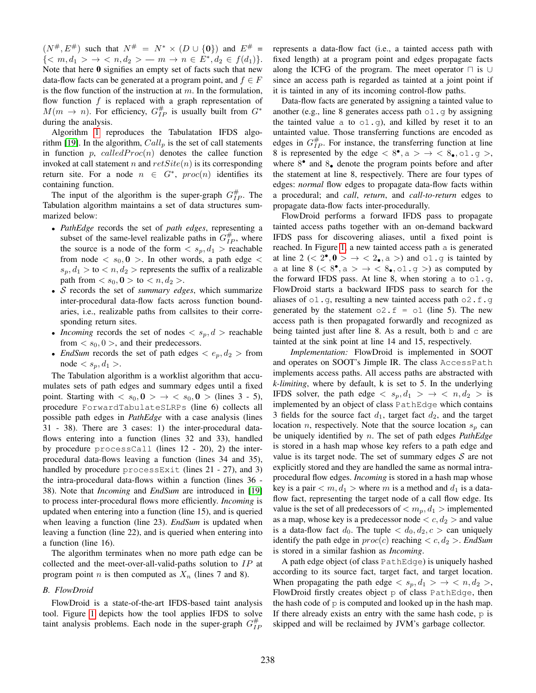$(N^{\#}, E^{\#})$  such that  $N^{\#} = N^* \times (D \cup \{0\})$  and  $E^{\#} =$  $\{\cdots  -m \rightarrow n \in E^*, d_2 \in f(d_1)\}.$ Note that here  $\bf{0}$  signifies an empty set of facts such that new data-flow facts can be generated at a program point, and  $f \in F$ is the flow function of the instruction at  $m$ . In the formulation, flow function  $f$  is replaced with a graph representation of  $M(m \rightarrow n)$ . For efficiency,  $G_{IP}^{\#}$  is usually built from  $G^*$ during the analysis.

Algorithm [1](#page-1-1) reproduces the Tabulatation IFDS algo-rithm [\[19\]](#page-11-7). In the algorithm,  $Call_p$  is the set of call statements in function  $p$ , *calledProc(n)* denotes the callee function invoked at call statement n and  $retSite(n)$  is its corresponding return site. For a node  $n \in G^*$ ,  $proc(n)$  identifies its containing function.

The input of the algorithm is the super-graph  $G_{IP}^{\#}$ . The Tabulation algorithm maintains a set of data structures summarized below:

- *PathEdge* records the set of *path edges*, representing a subset of the same-level realizable paths in  $G_{IP}^{\#}$ , where the source is a node of the form  $\langle s_p, d_1 \rangle$  reachable from node  $\langle s_0, 0 \rangle$ . In other words, a path edge  $\langle s_0, 0 \rangle$  $s_p, d_1 >$  to  $\lt n, d_2 >$  represents the suffix of a realizable path from  $\langle s_0, \mathbf{0} \rangle$  to  $\langle n, d_2 \rangle$ .
- S records the set of *summary edges*, which summarize inter-procedural data-flow facts across function boundaries, i.e., realizable paths from callsites to their corresponding return sites.
- *Incoming* records the set of nodes  $\langle s_p, d \rangle$  reachable from  $\langle s_0, 0 \rangle$ , and their predecessors.
- *EndSum* records the set of path edges  $\langle e_p, d_2 \rangle$  from  $\text{node} < s_p, d_1 >$ .

The Tabulation algorithm is a worklist algorithm that accumulates sets of path edges and summary edges until a fixed point. Starting with  $\langle s_0, \mathbf{0} \rangle \rightarrow \langle s_0, \mathbf{0} \rangle$  (lines 3 - 5), procedure ForwardTabulateSLRPs (line 6) collects all possible path edges in *PathEdge* with a case analysis (lines 31 - 38). There are 3 cases: 1) the inter-procedural dataflows entering into a function (lines 32 and 33), handled by procedure processCall (lines 12 - 20), 2) the interprocedural data-flows leaving a function (lines 34 and 35), handled by procedure processExit (lines 21 - 27), and 3) the intra-procedural data-flows within a function (lines 36 - 38). Note that *Incoming* and *EndSum* are introduced in [\[19\]](#page-11-7) to process inter-procedural flows more efficiently. *Incoming* is updated when entering into a function (line 15), and is queried when leaving a function (line 23). *EndSum* is updated when leaving a function (line 22), and is queried when entering into a function (line 16).

The algorithm terminates when no more path edge can be collected and the meet-over-all-valid-paths solution to  $IP$  at program point *n* is then computed as  $X_n$  (lines 7 and 8).

## *B. FlowDroid*

FlowDroid is a state-of-the-art IFDS-based taint analysis tool. Figure [1](#page-3-1) depicts how the tool applies IFDS to solve taint analysis problems. Each node in the super-graph  $G_{IP}^{\#}$ 

represents a data-flow fact (i.e., a tainted access path with fixed length) at a program point and edges propagate facts along the ICFG of the program. The meet operator  $\Box$  is ∪ since an access path is regarded as tainted at a joint point if it is tainted in any of its incoming control-flow paths.

Data-flow facts are generated by assigning a tainted value to another (e.g., line 8 generates access path  $\circ 1$ .g by assigning the tainted value a to  $\circ 1 \cdot q$ , and killed by reset it to an untainted value. Those transferring functions are encoded as edges in  $G_{IP}^{\#}$ . For instance, the transferring function at line 8 is represented by the edge  $\langle 8^\bullet, a \rangle \rightarrow \langle 8_\bullet, 01.9 \rangle$ , where  $8^{\bullet}$  and  $8_{\bullet}$  denote the program points before and after the statement at line 8, respectively. There are four types of edges: *normal* flow edges to propagate data-flow facts within a procedural; and *call*, *return*, and *call-to-return* edges to propagate data-flow facts inter-procedurally.

FlowDroid performs a forward IFDS pass to propagate tainted access paths together with an on-demand backward IFDS pass for discovering aliases, until a fixed point is reached. In Figure [1,](#page-3-1) a new tainted access path a is generated at line  $2 \leq 2^{\bullet}, 0 > \rightarrow \leq 2_{\bullet}, a >$  and  $\circ 1 \cdot g$  is tainted by a at line  $8 \leq 8^\bullet, a > + < 8_\bullet, o1.9 >$  as computed by the forward IFDS pass. At line 8, when storing a to  $\circ 1$ .g, FlowDroid starts a backward IFDS pass to search for the aliases of  $\circ 1$ .g, resulting a new tainted access path  $\circ 2$ .f.g generated by the statement  $\circ$ 2.  $f = \circ 1$  (line 5). The new access path is then propagated forwardly and recognized as being tainted just after line 8. As a result, both b and c are tainted at the sink point at line 14 and 15, respectively.

*Implementation:* FlowDroid is implemented in SOOT and operates on SOOT's Jimple IR. The class AccessPath implements access paths. All access paths are abstracted with *k-limiting*, where by default, k is set to 5. In the underlying IFDS solver, the path edge  $\langle s_p, d_1 \rangle \rightarrow \langle n, d_2 \rangle$  is implemented by an object of class PathEdge which contains 3 fields for the source fact  $d_1$ , target fact  $d_2$ , and the target location *n*, respectively. Note that the source location  $s_p$  can be uniquely identified by n. The set of path edges *PathEdge* is stored in a hash map whose key refers to a path edge and value is its target node. The set of summary edges  $S$  are not explicitly stored and they are handled the same as normal intraprocedural flow edges. *Incoming* is stored in a hash map whose key is a pair  $\langle m, d_1 \rangle$  where m is a method and  $d_1$  is a dataflow fact, representing the target node of a call flow edge. Its value is the set of all predecessors of  $\langle m_p, d_1 \rangle$  implemented as a map, whose key is a predecessor node  $\langle c, d_2 \rangle$  and value is a data-flow fact  $d_0$ . The tuple  $d_0, d_2, c > c$  an uniquely identify the path edge in  $proc(c)$  reaching  $\lt c, d_2$   $\gt$ . *EndSum* is stored in a similar fashion as *Incoming*.

A path edge object (of class PathEdge) is uniquely hashed according to its source fact, target fact, and target location. When propagating the path edge  $\langle s_p, d_1 \rangle \rightarrow \langle n, d_2 \rangle$ , FlowDroid firstly creates object p of class PathEdge, then the hash code of  $p$  is computed and looked up in the hash map. If there already exists an entry with the same hash code,  $\varphi$  is skipped and will be reclaimed by JVM's garbage collector.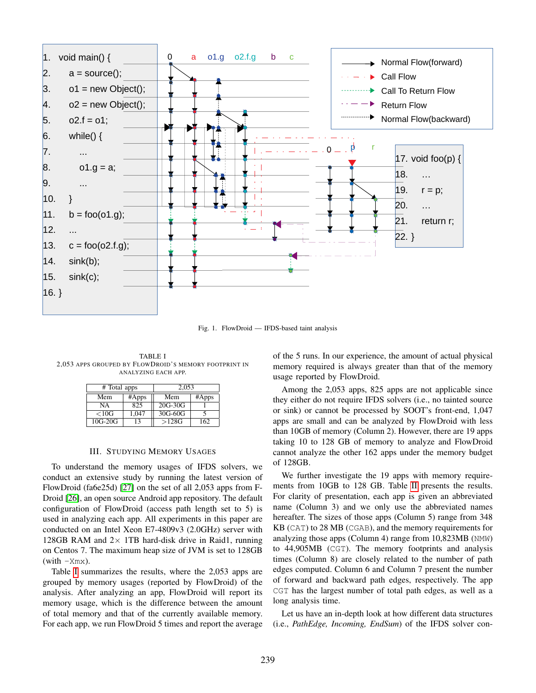

<span id="page-3-1"></span>Fig. 1. FlowDroid — IFDS-based taint analysis

<span id="page-3-2"></span>TABLE I 2,053 APPS GROUPED BY FLOWDROID'S MEMORY FOOTPRINT IN ANALYZING EACH APP.

| # Total apps |       | 2.053     |       |  |
|--------------|-------|-----------|-------|--|
| Mem          | #Apps | Mem       | #Apps |  |
| NΑ           | 825   | $20G-30G$ |       |  |
| < 10G        | 1.047 | 30G-60G   |       |  |
| $10G-20G$    | 13    | >128G     | 162   |  |

## III. STUDYING MEMORY USAGES

<span id="page-3-0"></span>To understand the memory usages of IFDS solvers, we conduct an extensive study by running the latest version of FlowDroid (fa6e25d) [\[27\]](#page-11-15) on the set of all 2,053 apps from F-Droid [\[26\]](#page-11-14), an open source Android app repository. The default configuration of FlowDroid (access path length set to 5) is used in analyzing each app. All experiments in this paper are conducted on an Intel Xeon E7-4809v3 (2.0GHz) server with 128GB RAM and  $2 \times$  1TB hard-disk drive in Raid1, running on Centos 7. The maximum heap size of JVM is set to 128GB  $(with - Xmx)$ .

Table [I](#page-3-2) summarizes the results, where the 2,053 apps are grouped by memory usages (reported by FlowDroid) of the analysis. After analyzing an app, FlowDroid will report its memory usage, which is the difference between the amount of total memory and that of the currently available memory. For each app, we run FlowDroid 5 times and report the average of the 5 runs. In our experience, the amount of actual physical memory required is always greater than that of the memory usage reported by FlowDroid.

Among the 2,053 apps, 825 apps are not applicable since they either do not require IFDS solvers (i.e., no tainted source or sink) or cannot be processed by SOOT's front-end, 1,047 apps are small and can be analyzed by FlowDroid with less than 10GB of memory (Column 2). However, there are 19 apps taking 10 to 128 GB of memory to analyze and FlowDroid cannot analyze the other 162 apps under the memory budget of 128GB.

We further investigate the 19 apps with memory requirements from 10GB to 128 GB. Table [II](#page-4-1) presents the results. For clarity of presentation, each app is given an abbreviated name (Column 3) and we only use the abbreviated names hereafter. The sizes of those apps (Column 5) range from 348 KB (CAT) to 28 MB (CGAB), and the memory requirements for analyzing those apps (Column 4) range from 10,823MB (NMW) to 44,905MB (CGT). The memory footprints and analysis times (Column 8) are closely related to the number of path edges computed. Column 6 and Column 7 present the number of forward and backward path edges, respectively. The app CGT has the largest number of total path edges, as well as a long analysis time.

Let us have an in-depth look at how different data structures (i.e., *PathEdge, Incoming, EndSum*) of the IFDS solver con-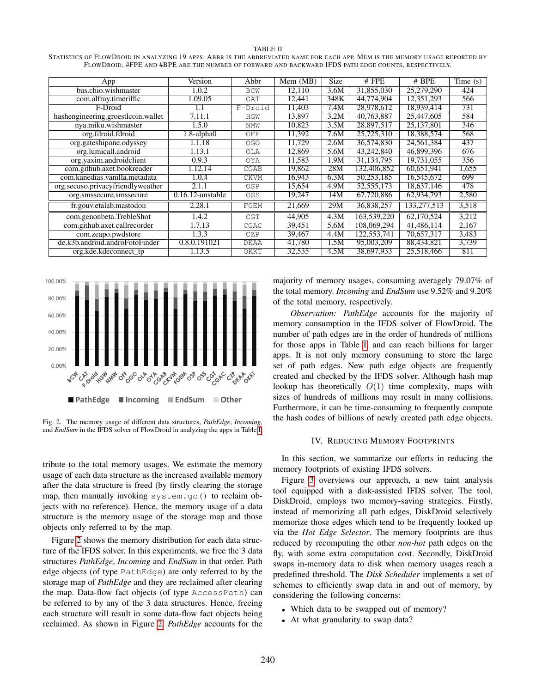#### TABLE II

<span id="page-4-1"></span>STATISTICS OF FLOWDROID IN ANALYZING 19 APPS. ABBR IS THE ABBREVIATED NAME FOR EACH APP, MEM IS THE MEMORY USAGE REPORTED BY FLOWDROID, #FPE AND #BPE ARE THE NUMBER OF FORWARD AND BACKWARD IFDS PATH EDGE COUNTS, RESPECTIVELY.

| App                                | Version             | Abbr        | Mem (MB) | <b>Size</b> | $#$ FPE      | $#$ BPE     | Time $(s)$ |
|------------------------------------|---------------------|-------------|----------|-------------|--------------|-------------|------------|
| bus.chio.wishmaster                | 1.0.2               | <b>BCW</b>  | 12.110   | 3.6M        | 31,855,030   | 25,279,290  | 424        |
| com.alfray.timeriffic              | 1.09.05             | CAT         | 12.441   | 348K        | 44.774.904   | 12,351,293  | 566        |
| F-Droid                            | 1.1                 | F-Droid     | 11,403   | 7.4M        | 28,978,612   | 18,939,414  | 731        |
| hashengineering.groestlcoin.wallet | 7.11.1              | <b>HGW</b>  | 13,897   | 3.2M        | 40,763,887   | 25,447,605  | 584        |
| nya.miku.wishmaster                | 1.5.0               | <b>NMW</b>  | 10,823   | 3.5M        | 28,897,517   | 25,137,801  | 346        |
| org.fdroid.fdroid                  | $1.8$ -alpha $0$    | OFF         | 11.392   | 7.6M        | 25,725,310   | 18.388.574  | 568        |
| org.gateshipone.odyssey            | 1.1.18              | <b>OGO</b>  | 11,729   | 2.6M        | 36,574,830   | 24,561,384  | 437        |
| org.lumicall.android               | 1.13.1              | OLA         | 12.869   | 5.6M        | 43,242,840   | 46,899,396  | 676        |
| org.yaxim.androidclient            | 0.9.3               | OYA         | 11,583   | 1.9M        | 31,134,795   | 19,731,055  | 356        |
| com.github.axet.bookreader         | 1.12.14             | CGAB        | 19,862   | 28M         | 132,406,852  | 60.651.941  | 1.655      |
| com.kanedias.vanilla.metadata      | 1.0.4               | <b>CKVM</b> | 16,943   | 6.3M        | 50,253,185   | 16,545,672  | 699        |
| org.secuso.privacyfriendlyweather  | 2.1.1               | OSP         | 15,654   | 4.9M        | 52, 555, 173 | 18,637,146  | 478        |
| org.smssecure.smssecure            | $0.16.12$ -unstable | OSS         | 19,247   | 14M         | 67,720,886   | 62,934,793  | 2,580      |
| fr.gouv.etalab.mastodon            | 2.28.1              | FGEM        | 21,669   | 29M         | 36,838,257   | 133,277,513 | 3,518      |
| com.genonbeta.TrebleShot           | 1.4.2               | CGT         | 44,905   | 4.3M        | 163,539,220  | 62,170,524  | 3,212      |
| com.github.axet.callrecorder       | 1.7.13              | CGAC        | 39,451   | 5.6M        | 108,069,294  | 41,486,114  | 2,167      |
| com.zeapo.pwdstore                 | 1.3.3               | CZP         | 39,467   | 4.4M        | 122,553,741  | 70,657,317  | 3,483      |
| de.k3b.android.androFotoFinder     | 0.8.0.191021        | <b>DKAA</b> | 41,780   | 1.5M        | 95,003,209   | 88,434,821  | 3,739      |
| org.kde.kdeconnect_tp              | 1.13.5              | OKKT        | 32,535   | 4.5M        | 38,697,933   | 25,518,466  | 811        |

100.00% 80.00% 60.00% 40.00% 20.00% 0.00% watung or go or at great gay of os os give **PathEdge Incoming EndSum Other**

<span id="page-4-2"></span>Fig. 2. The memory usage of different data structures, *PathEdge*, *Incoming*, and *EndSum* in the IFDS solver of FlowDroid in analyzing the apps in Table [I.](#page-3-2)

tribute to the total memory usages. We estimate the memory usage of each data structure as the increased available memory after the data structure is freed (by firstly clearing the storage map, then manually invoking system.gc() to reclaim objects with no reference). Hence, the memory usage of a data structure is the memory usage of the storage map and those objects only referred to by the map.

Figure [2](#page-4-2) shows the memory distribution for each data structure of the IFDS solver. In this experiments, we free the 3 data structures *PathEdge*, *Incoming* and *EndSum* in that order. Path edge objects (of type PathEdge) are only referred to by the storage map of *PathEdge* and they are reclaimed after clearing the map. Data-flow fact objects (of type AccessPath) can be referred to by any of the 3 data structures. Hence, freeing each structure will result in some data-flow fact objects being reclaimed. As shown in Figure [2,](#page-4-2) *PathEdge* accounts for the majority of memory usages, consuming averagely 79.07% of the total memory. *Incoming* and *EndSum* use 9.52% and 9.20% of the total memory, respectively.

*Observation: PathEdge* accounts for the majority of memory consumption in the IFDS solver of FlowDroid. The number of path edges are in the order of hundreds of millions for those apps in Table [I,](#page-3-2) and can reach billions for larger apps. It is not only memory consuming to store the large set of path edges. New path edge objects are frequently created and checked by the IFDS solver. Although hash map lookup has theoretically  $O(1)$  time complexity, maps with sizes of hundreds of millions may result in many collisions. Furthermore, it can be time-consuming to frequently compute the hash codes of billions of newly created path edge objects.

## IV. REDUCING MEMORY FOOTPRINTS

<span id="page-4-0"></span>In this section, we summarize our efforts in reducing the memory footprints of existing IFDS solvers.

Figure [3](#page-5-0) overviews our approach, a new taint analysis tool equipped with a disk-assisted IFDS solver. The tool, DiskDroid, employs two memory-saving strategies. Firstly, instead of memorizing all path edges, DiskDroid selectively memorize those edges which tend to be frequently looked up via the *Hot Edge Selector*. The memory footprints are thus reduced by recomputing the other *non-hot* path edges on the fly, with some extra computation cost. Secondly, DiskDroid swaps in-memory data to disk when memory usages reach a predefined threshold. The *Disk Scheduler* implements a set of schemes to efficiently swap data in and out of memory, by considering the following concerns:

- Which data to be swapped out of memory?
- At what granularity to swap data?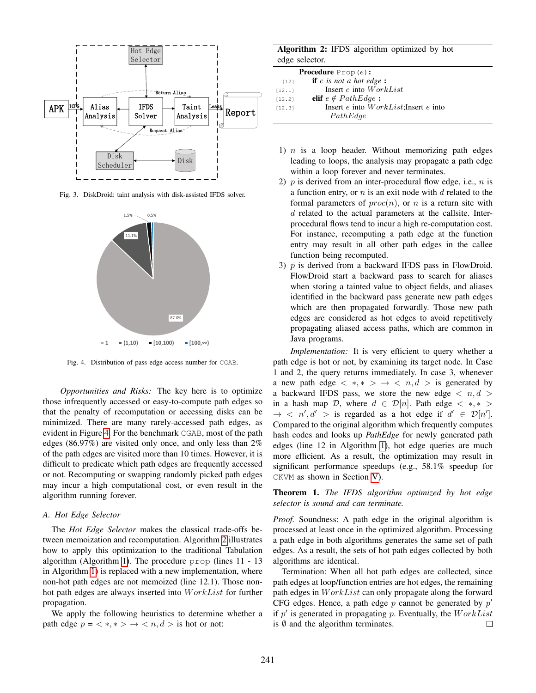

Fig. 3. DiskDroid: taint analysis with disk-assisted IFDS solver.

<span id="page-5-0"></span>

<span id="page-5-1"></span>Fig. 4. Distribution of pass edge access number for CGAB.

*Opportunities and Risks:* The key here is to optimize those infrequently accessed or easy-to-compute path edges so that the penalty of recomputation or accessing disks can be minimized. There are many rarely-accessed path edges, as evident in Figure [4.](#page-5-1) For the benchmark CGAB, most of the path edges (86.97%) are visited only once, and only less than 2% of the path edges are visited more than 10 times. However, it is difficult to predicate which path edges are frequently accessed or not. Recomputing or swapping randomly picked path edges may incur a high computational cost, or even result in the algorithm running forever.

# *A. Hot Edge Selector*

The *Hot Edge Selector* makes the classical trade-offs between memoization and recomputation. Algorithm [2](#page-5-2) illustrates how to apply this optimization to the traditional Tabulation algorithm (Algorithm [1\)](#page-1-1). The procedure prop (lines 11 - 13 in Algorithm [1\)](#page-1-1) is replaced with a new implementation, where non-hot path edges are not memoized (line 12.1). Those nonhot path edges are always inserted into  $WorkList$  for further propagation.

We apply the following heuristics to determine whether a path edge  $p = \langle *, * \rangle \rightarrow \langle n, d \rangle$  is hot or not:

# Algorithm 2: IFDS algorithm optimized by hot edge selector.

<span id="page-5-2"></span>

|        | <b>Procedure</b> $Prop(e)$ :          |
|--------|---------------------------------------|
| $[12]$ | <b>if</b> $e$ is not a hot edge:      |
| [12.1] | Insert $e$ into $WorkList$            |
| 12.21  | elif $e \notin PathEdge$ :            |
| [12.3] | Insert e into WorkList; Insert e into |
|        | PathEdge                              |

- 1)  $n$  is a loop header. Without memorizing path edges leading to loops, the analysis may propagate a path edge within a loop forever and never terminates.
- 2)  $p$  is derived from an inter-procedural flow edge, i.e.,  $n$  is a function entry, or  $n$  is an exit node with  $d$  related to the formal parameters of  $proc(n)$ , or n is a return site with d related to the actual parameters at the callsite. Interprocedural flows tend to incur a high re-computation cost. For instance, recomputing a path edge at the function entry may result in all other path edges in the callee function being recomputed.
- 3)  $p$  is derived from a backward IFDS pass in FlowDroid. FlowDroid start a backward pass to search for aliases when storing a tainted value to object fields, and aliases identified in the backward pass generate new path edges which are then propagated forwardly. Those new path edges are considered as hot edges to avoid repetitively propagating aliased access paths, which are common in Java programs.

*Implementation:* It is very efficient to query whether a path edge is hot or not, by examining its target node. In Case 1 and 2, the query returns immediately. In case 3, whenever a new path edge  $\langle *, * \rangle \rightarrow \langle n, d \rangle$  is generated by a backward IFDS pass, we store the new edge  $\langle n, d \rangle$ in a hash map D, where  $d \in \mathcal{D}[n]$ . Path edge  $\langle *, * \rangle$  $\rightarrow$  < n', d' > is regarded as a hot edge if  $d' \in \mathcal{D}[n']$ . Compared to the original algorithm which frequently computes hash codes and looks up *PathEdge* for newly generated path edges (line 12 in Algorithm [1\)](#page-1-1), hot edge queries are much more efficient. As a result, the optimization may result in significant performance speedups (e.g., 58.1% speedup for CKVM as shown in Section [V\)](#page-6-0).

Theorem 1. *The IFDS algorithm optimized by hot edge selector is sound and can terminate.*

*Proof.* Soundness: A path edge in the original algorithm is processed at least once in the optimized algorithm. Processing a path edge in both algorithms generates the same set of path edges. As a result, the sets of hot path edges collected by both algorithms are identical.

Termination: When all hot path edges are collected, since path edges at loop/function entries are hot edges, the remaining path edges in  $WorkList$  can only propagate along the forward CFG edges. Hence, a path edge  $p$  cannot be generated by  $p'$ if  $p'$  is generated in propagating p. Eventually, the  $WorkList$ is  $\emptyset$  and the algorithm terminates.  $\Box$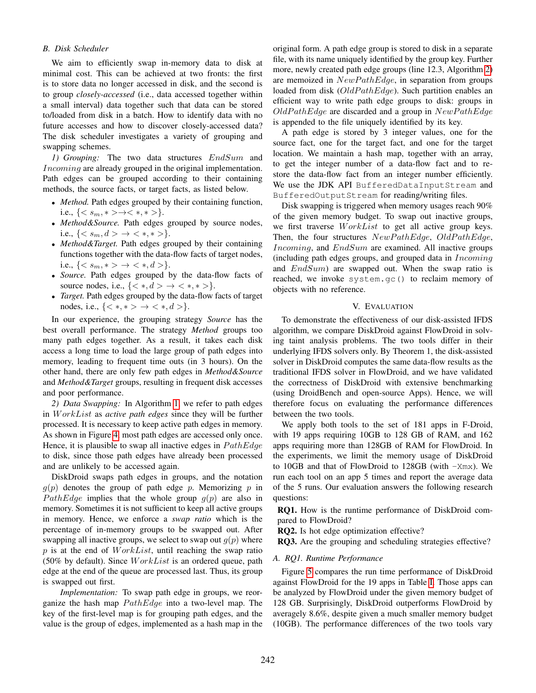# *B. Disk Scheduler*

We aim to efficiently swap in-memory data to disk at minimal cost. This can be achieved at two fronts: the first is to store data no longer accessed in disk, and the second is to group *closely-accessed* (i.e., data accessed together within a small interval) data together such that data can be stored to/loaded from disk in a batch. How to identify data with no future accesses and how to discover closely-accessed data? The disk scheduler investigates a variety of grouping and swapping schemes.

*1) Grouping:* The two data structures EndSum and Incoming are already grouped in the original implementation. Path edges can be grouped according to their containing methods, the source facts, or target facts, as listed below.

- *Method.* Path edges grouped by their containing function, i.e.,  ${< s_m, * > \rightarrow < *, * >}.$
- *Method&Source.* Path edges grouped by source nodes, i.e.,  $\{< s_m, d > \}\; < \; *, \; * > \}.$
- *Method&Target.* Path edges grouped by their containing functions together with the data-flow facts of target nodes, i.e.,  $\{< s_m, *> \; \to \; < \ast, d> \}.$
- *Source.* Path edges grouped by the data-flow facts of source nodes, i.e.,  $\{ < *, d > \to < *, * > \}.$
- *Target.* Path edges grouped by the data-flow facts of target nodes, i.e.,  $\{<*,*> \to <*,d>\}.$

In our experience, the grouping strategy *Source* has the best overall performance. The strategy *Method* groups too many path edges together. As a result, it takes each disk access a long time to load the large group of path edges into memory, leading to frequent time outs (in 3 hours). On the other hand, there are only few path edges in *Method&Source* and *Method&Target* groups, resulting in frequent disk accesses and poor performance.

*2) Data Swapping:* In Algorithm [1,](#page-1-1) we refer to path edges in W orkList as *active path edges* since they will be further processed. It is necessary to keep active path edges in memory. As shown in Figure [4,](#page-5-1) most path edges are accessed only once. Hence, it is plausible to swap all inactive edges in  $PathEdge$ to disk, since those path edges have already been processed and are unlikely to be accessed again.

DiskDroid swaps path edges in groups, and the notation  $g(p)$  denotes the group of path edge p. Memorizing p in PathEdge implies that the whole group  $g(p)$  are also in memory. Sometimes it is not sufficient to keep all active groups in memory. Hence, we enforce a *swap ratio* which is the percentage of in-memory groups to be swapped out. After swapping all inactive groups, we select to swap out  $q(p)$  where  $p$  is at the end of  $WorkList$ , until reaching the swap ratio (50% by default). Since  $WorkList$  is an ordered queue, path edge at the end of the queue are processed last. Thus, its group is swapped out first.

*Implementation:* To swap path edge in groups, we reorganize the hash map  $PathEdge$  into a two-level map. The key of the first-level map is for grouping path edges, and the value is the group of edges, implemented as a hash map in the

original form. A path edge group is stored to disk in a separate file, with its name uniquely identified by the group key. Further more, newly created path edge groups (line 12.3, Algorithm [2\)](#page-5-2) are memoized in  $NewPathEdge$ , in separation from groups loaded from disk  $(OldPathEdge)$ . Such partition enables an efficient way to write path edge groups to disk: groups in  $OldPathEdge$  are discarded and a group in  $NewPathEdge$ is appended to the file uniquely identified by its key.

A path edge is stored by 3 integer values, one for the source fact, one for the target fact, and one for the target location. We maintain a hash map, together with an array, to get the integer number of a data-flow fact and to restore the data-flow fact from an integer number efficiently. We use the JDK API BufferedDataInputStream and BufferedOutputStream for reading/writing files.

Disk swapping is triggered when memory usages reach 90% of the given memory budget. To swap out inactive groups, we first traverse  $WorkList$  to get all active group keys. Then, the four structures  $NewPathEdge$ ,  $OldPathEdge$ , Incoming, and EndSum are examined. All inactive groups (including path edges groups, and grouped data in  $Incoming$ and  $EndSum$ ) are swapped out. When the swap ratio is reached, we invoke system.gc() to reclaim memory of objects with no reference.

#### V. EVALUATION

<span id="page-6-0"></span>To demonstrate the effectiveness of our disk-assisted IFDS algorithm, we compare DiskDroid against FlowDroid in solving taint analysis problems. The two tools differ in their underlying IFDS solvers only. By Theorem 1, the disk-assisted solver in DiskDroid computes the same data-flow results as the traditional IFDS solver in FlowDroid, and we have validated the correctness of DiskDroid with extensive benchmarking (using DroidBench and open-source Apps). Hence, we will therefore focus on evaluating the performance differences between the two tools.

We apply both tools to the set of 181 apps in F-Droid, with 19 apps requiring 10GB to 128 GB of RAM, and 162 apps requiring more than 128GB of RAM for FlowDroid. In the experiments, we limit the memory usage of DiskDroid to 10GB and that of FlowDroid to 128GB (with -Xmx). We run each tool on an app 5 times and report the average data of the 5 runs. Our evaluation answers the following research questions:

RQ1. How is the runtime performance of DiskDroid compared to FlowDroid?

RQ2. Is hot edge optimization effective?

RQ3. Are the grouping and scheduling strategies effective?

### *A. RQ1. Runtime Performance*

Figure [5](#page-7-0) compares the run time performance of DiskDroid against FlowDroid for the 19 apps in Table [I.](#page-3-2) Those apps can be analyzed by FlowDroid under the given memory budget of 128 GB. Surprisingly, DiskDroid outperforms FlowDroid by averagely 8.6%, despite given a much smaller memory budget (10GB). The performance differences of the two tools vary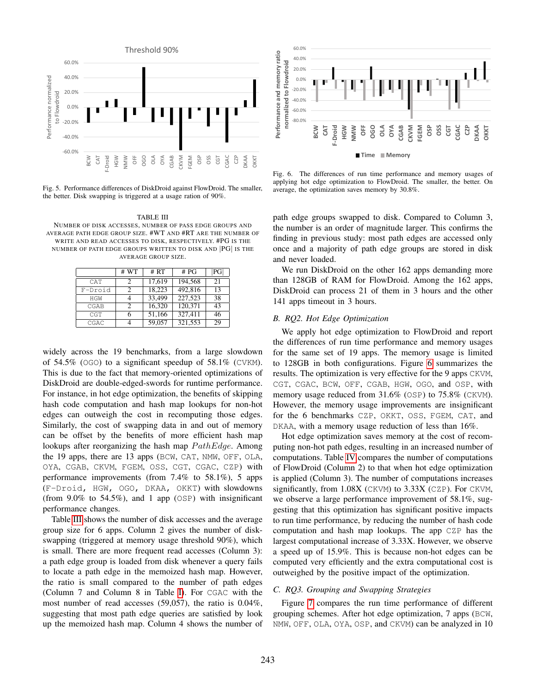

<span id="page-7-0"></span>Fig. 5. Performance differences of DiskDroid against FlowDroid. The smaller, the better. Disk swapping is triggered at a usage ration of 90%.

<span id="page-7-1"></span>TABLE III NUMBER OF DISK ACCESSES, NUMBER OF PASS EDGE GROUPS AND AVERAGE PATH EDGE GROUP SIZE. #WT AND #RT ARE THE NUMBER OF WRITE AND READ ACCESSES TO DISK, RESPECTIVELY. #PG IS THE NUMBER OF PATH EDGE GROUPS WRITTEN TO DISK AND |PG| IS THE AVERAGE GROUP SIZE.

|         | # WT | # RT   | # PG    | РG |
|---------|------|--------|---------|----|
| CAT     | 2    | 17,619 | 194,568 | 21 |
| F-Droid | っ    | 18,223 | 492,816 | 13 |
| HGW     |      | 33,499 | 227,523 | 38 |
| CGAB    | 2    | 16,320 | 120,371 | 43 |
| CGT     |      | 51,166 | 327,411 | 46 |
| CGAC    |      | 59,057 | 321,553 | 29 |

widely across the 19 benchmarks, from a large slowdown of  $54.5\%$  (OGO) to a significant speedup of  $58.1\%$  (CVKM). This is due to the fact that memory-oriented optimizations of DiskDroid are double-edged-swords for runtime performance. For instance, in hot edge optimization, the benefits of skipping hash code computation and hash map lookups for non-hot edges can outweigh the cost in recomputing those edges. Similarly, the cost of swapping data in and out of memory can be offset by the benefits of more efficient hash map lookups after reorganizing the hash map  $PathEdge$ . Among the 19 apps, there are 13 apps (BCW, CAT, NMW, OFF, OLA, OYA, CGAB, CKVM, FGEM, OSS, CGT, CGAC, CZP) with performance improvements (from 7.4% to 58.1%), 5 apps (F-Droid, HGW, OGO, DKAA, OKKT) with slowdowns (from 9.0% to 54.5%), and 1 app (OSP) with insignificant performance changes.

Table [III](#page-7-1) shows the number of disk accesses and the average group size for 6 apps. Column 2 gives the number of diskswapping (triggered at memory usage threshold 90%), which is small. There are more frequent read accesses (Column 3): a path edge group is loaded from disk whenever a query fails to locate a path edge in the memoized hash map. However, the ratio is small compared to the number of path edges (Column 7 and Column 8 in Table [I\)](#page-3-2). For CGAC with the most number of read accesses (59,057), the ratio is 0.04%, suggesting that most path edge queries are satisfied by look up the memoized hash map. Column 4 shows the number of



<span id="page-7-2"></span>Fig. 6. The differences of run time performance and memory usages of applying hot edge optimization to FlowDroid. The smaller, the better. On average, the optimization saves memory by 30.8%.

path edge groups swapped to disk. Compared to Column 3, the number is an order of magnitude larger. This confirms the finding in previous study: most path edges are accessed only once and a majority of path edge groups are stored in disk and never loaded.

We run DiskDroid on the other 162 apps demanding more than 128GB of RAM for FlowDroid. Among the 162 apps, DiskDroid can process 21 of them in 3 hours and the other 141 apps timeout in 3 hours.

## *B. RQ2. Hot Edge Optimization*

We apply hot edge optimization to FlowDroid and report the differences of run time performance and memory usages for the same set of 19 apps. The memory usage is limited to 128GB in both configurations. Figure [6](#page-7-2) summarizes the results. The optimization is very effective for the 9 apps CKVM, CGT, CGAC, BCW, OFF, CGAB, HGW, OGO, and OSP, with memory usage reduced from 31.6% (OSP) to 75.8% (CKVM). However, the memory usage improvements are insignificant for the 6 benchmarks CZP, OKKT, OSS, FGEM, CAT, and DKAA, with a memory usage reduction of less than 16%.

Hot edge optimization saves memory at the cost of recomputing non-hot path edges, resulting in an increased number of computations. Table [IV](#page-8-1) compares the number of computations of FlowDroid (Column 2) to that when hot edge optimization is applied (Column 3). The number of computations increases significantly, from 1.08X (CKVM) to 3.33X (CZP). For CKVM, we observe a large performance improvement of 58.1%, suggesting that this optimization has significant positive impacts to run time performance, by reducing the number of hash code computation and hash map lookups. The app CZP has the largest computational increase of 3.33X. However, we observe a speed up of 15.9%. This is because non-hot edges can be computed very efficiently and the extra computational cost is outweighed by the positive impact of the optimization.

### *C. RQ3. Grouping and Swapping Strategies*

Figure [7](#page-8-2) compares the run time performance of different grouping schemes. After hot edge optimization, 7 apps (BCW, NMW, OFF, OLA, OYA, OSP, and CKVM) can be analyzed in 10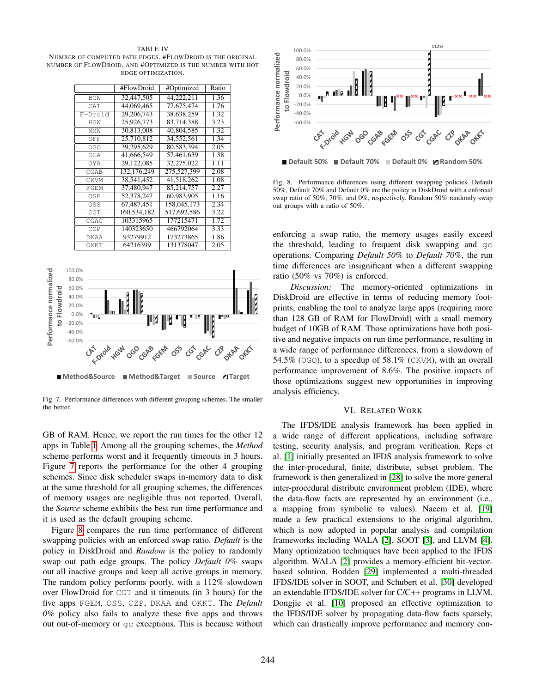### TABLE IV

<span id="page-8-1"></span>NUMBER OF COMPUTED PATH EDGES. #FLOWDROID IS THE ORIGINAL NUMBER OF FLOWDROID, AND #OPTIMIZED IS THE NUMBER WITH HOT EDGE OPTIMIZATION.

|             | #FlowDroid  | #Optimized  | Ratio |
|-------------|-------------|-------------|-------|
| <b>BCW</b>  | 32.447.505  | 44.222.211  | 1.36  |
| CAT         | 44,069,465  | 77,675,474  | 1.76  |
| F-Droid     | 29,206,743  | 38,638,259  | 1.32  |
| <b>HGW</b>  | 25,926,773  | 83.714.388  | 3.23  |
| NMW         | 30,813,008  | 40.804.585  | 1.32  |
| OFF         | 25.710.812  | 34.552.561  | 1.34  |
| OGO         | 39.295.629  | 80.583.394  | 2.05  |
| OT A        | 41.666.549  | 57.461.639  | 1.38  |
| OYA         | 29,122,085  | 32,275,022  | 1.11  |
| CGAB        | 132,176,249 | 275,527,399 | 2.08  |
| <b>CKVM</b> | 38,541,452  | 41.518.262  | 1.08  |
| FGEM        | 37,480,947  | 85,214,757  | 2.27  |
| OSP         | 52,378,247  | 60.983.905  | 1.16  |
| OSS         | 67.487.451  | 158,045,173 | 2.34  |
| CGT         | 160,534,182 | 517,692,586 | 3.22  |
| CGAC        | 103315965   | 177215471   | 1.72  |
| CZP         | 140323650   | 466792064   | 3.33  |
| DKAA        | 93279912    | 173273865   | 1.86  |
| OKKT        | 64216399    | 131378047   | 2.05  |



<span id="page-8-2"></span>Fig. 7. Performance differences with different grouping schemes. The smaller the better.

GB of RAM. Hence, we report the run times for the other 12 apps in Table [I.](#page-3-2) Among all the grouping schemes, the *Method* scheme performs worst and it frequently timeouts in 3 hours. Figure [7](#page-8-2) reports the performance for the other 4 grouping schemes. Since disk scheduler swaps in-memory data to disk at the same threshold for all grouping schemes, the differences of memory usages are negligible thus not reported. Overall, the *Source* scheme exhibits the best run time performance and it is used as the default grouping scheme.

Figure [8](#page-8-3) compares the run time performance of different swapping policies with an enforced swap ratio. *Default* is the policy in DiskDroid and *Random* is the policy to randomly swap out path edge groups. The policy *Default 0%* swaps out all inactive groups and keep all active groups in memory. The random policy performs poorly, with a 112% slowdown over FlowDroid for CGT and it timeouts (in 3 hours) for the five apps FGEM, OSS, CZP, DKAA and OKKT. The *Default 0%* policy also fails to analyze these five apps and throws out out-of-memory or gc exceptions. This is because without



<span id="page-8-3"></span>

Fig. 8. Performance differences using different swapping policies. Default 50%, Default 70% and Default 0% are the policy in DiskDroid with a enforced swap ratio of 50%, 70%, and 0%, respectively. Random 50% randomly swap out groups with a ratio of 50%.

enforcing a swap ratio, the memory usages easily exceed the threshold, leading to frequent disk swapping and gc operations. Comparing *Default 50%* to *Default 70%*, the run time differences are insignificant when a different swapping ratio (50% vs 70%) is enforced.

*Discussion:* The memory-oriented optimizations in DiskDroid are effective in terms of reducing memory footprints, enabling the tool to analyze large apps (requiring more than 128 GB of RAM for FlowDroid) with a small memory budget of 10GB of RAM. Those optimizations have both positive and negative impacts on run time performance, resulting in a wide range of performance differences, from a slowdown of 54.5% (OGO), to a speedup of 58.1% (CKVM), with an overall performance improvement of 8.6%. The positive impacts of those optimizations suggest new opportunities in improving analysis efficiency.

#### VI. RELATED WORK

<span id="page-8-0"></span>The IFDS/IDE analysis framework has been applied in a wide range of different applications, including software testing, security analysis, and program verification. Reps et al. [\[1\]](#page-10-0) initially presented an IFDS analysis framework to solve the inter-procedural, finite, distribute, subset problem. The framework is then generalized in [\[28\]](#page-11-16) to solve the more general inter-procedural distribute environment problem (IDE), where the data-flow facts are represented by an environment (i.e., a mapping from symbolic to values). Naeem et al. [\[19\]](#page-11-7) made a few practical extensions to the original algorithm, which is now adopted in popular analysis and compilation frameworks including WALA [\[2\]](#page-10-1), SOOT [\[3\]](#page-10-2), and LLVM [\[4\]](#page-10-3). Many optimization techniques have been applied to the IFDS algorithm. WALA [\[2\]](#page-10-1) provides a memory-efficient bit-vectorbased solution, Bodden [\[29\]](#page-11-17) implemented a multi-threaded IFDS/IDE solver in SOOT, and Schubert et al. [\[30\]](#page-11-18) developed an extendable IFDS/IDE solver for C/C++ programs in LLVM. Dongjie et al. [\[10\]](#page-10-9) proposed an effective optimization to the IFDS/IDE solver by propagating data-flow facts sparsely, which can drastically improve performance and memory con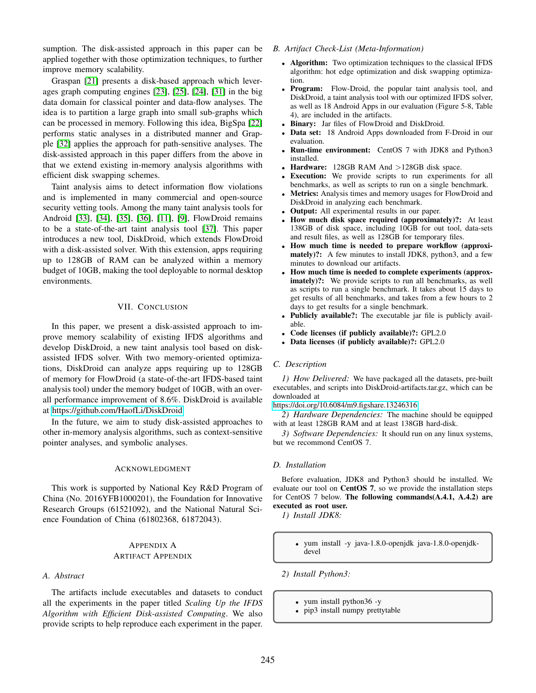sumption. The disk-assisted approach in this paper can be applied together with those optimization techniques, to further improve memory scalability.

Graspan [\[21\]](#page-11-9) presents a disk-based approach which leverages graph computing engines [\[23\]](#page-11-11), [\[25\]](#page-11-13), [\[24\]](#page-11-12), [\[31\]](#page-11-19) in the big data domain for classical pointer and data-flow analyses. The idea is to partition a large graph into small sub-graphs which can be processed in memory. Following this idea, BigSpa [\[22\]](#page-11-10) performs static analyses in a distributed manner and Grapple [\[32\]](#page-11-20) applies the approach for path-sensitive analyses. The disk-assisted approach in this paper differs from the above in that we extend existing in-memory analysis algorithms with efficient disk swapping schemes.

Taint analysis aims to detect information flow violations and is implemented in many commercial and open-source security vetting tools. Among the many taint analysis tools for Android [\[33\]](#page-11-21), [\[34\]](#page-11-22), [\[35\]](#page-11-23), [\[36\]](#page-11-24), [\[11\]](#page-10-10), [\[9\]](#page-10-8), FlowDroid remains to be a state-of-the-art taint analysis tool [\[37\]](#page-11-25). This paper introduces a new tool, DiskDroid, which extends FlowDroid with a disk-assisted solver. With this extension, apps requiring up to 128GB of RAM can be analyzed within a memory budget of 10GB, making the tool deployable to normal desktop environments.

## VII. CONCLUSION

<span id="page-9-0"></span>In this paper, we present a disk-assisted approach to improve memory scalability of existing IFDS algorithms and develop DiskDroid, a new taint analysis tool based on diskassisted IFDS solver. With two memory-oriented optimizations, DiskDroid can analyze apps requiring up to 128GB of memory for FlowDroid (a state-of-the-art IFDS-based taint analysis tool) under the memory budget of 10GB, with an overall performance improvement of 8.6%. DiskDroid is available at [https://github.com/HaofLi/DiskDroid.](https://github.com/HaofLi/DiskDroid)

In the future, we aim to study disk-assisted approaches to other in-memory analysis algorithms, such as context-sensitive pointer analyses, and symbolic analyses.

#### ACKNOWLEDGMENT

This work is supported by National Key R&D Program of China (No. 2016YFB1000201), the Foundation for Innovative Research Groups (61521092), and the National Natural Science Foundation of China (61802368, 61872043).

# APPENDIX A ARTIFACT APPENDIX

## *A. Abstract*

The artifacts include executables and datasets to conduct all the experiments in the paper titled *Scaling Up the IFDS Algorithm with Efficient Disk-assisted Computing*. We also provide scripts to help reproduce each experiment in the paper.

# *B. Artifact Check-List (Meta-Information)*

- Algorithm: Two optimization techniques to the classical IFDS algorithm: hot edge optimization and disk swapping optimization.
- Program: Flow-Droid, the popular taint analysis tool, and DiskDroid, a taint analysis tool with our optimized IFDS solver, as well as 18 Android Apps in our evaluation (Figure 5-8, Table 4), are included in the artifacts.
- Binary: Jar files of FlowDroid and DiskDroid.
- Data set: 18 Android Apps downloaded from F-Droid in our evaluation.
- Run-time environment: CentOS 7 with JDK8 and Python3 installed.
- Hardware: 128GB RAM And >128GB disk space.
- **Execution:** We provide scripts to run experiments for all benchmarks, as well as scripts to run on a single benchmark.
- Metrics: Analysis times and memory usages for FlowDroid and DiskDroid in analyzing each benchmark.
- Output: All experimental results in our paper.
- How much disk space required (approximately)?: At least 138GB of disk space, including 10GB for out tool, data-sets and result files, as well as 128GB for temporary files.
- How much time is needed to prepare workflow (approximately)?: A few minutes to install JDK8, python3, and a few minutes to download our artifacts.
- How much time is needed to complete experiments (approx**imately**)?: We provide scripts to run all benchmarks, as well as scripts to run a single benchmark. It takes about 15 days to get results of all benchmarks, and takes from a few hours to 2 days to get results for a single benchmark.
- Publicly available?: The executable jar file is publicly available.
- Code licenses (if publicly available)?: GPL2.0
- Data licenses (if publicly available)?: GPL2.0

## *C. Description*

*1) How Delivered:* We have packaged all the datasets, pre-built executables, and scripts into DiskDroid-artifacts.tar.gz, which can be downloaded at

[https://doi.org/10.6084/m9.figshare.13246316.](https://doi.org/10.6084/m9.figshare.13246316)

*2) Hardware Dependencies:* The machine should be equipped with at least 128GB RAM and at least 138GB hard-disk.

*3) Software Dependencies:* It should run on any linux systems, but we recommond CentOS 7.

## *D. Installation*

Before evaluation, JDK8 and Python3 should be installed. We evaluate our tool on CentOS 7, so we provide the installation steps for CentOS 7 below. The following commands(A.4.1, A.4.2) are executed as root user.

*1) Install JDK8:*

- yum install -y java-1.8.0-openjdk java-1.8.0-openjdkdevel
- *2) Install Python3:*
	- yum install python36 -y
	- pip3 install numpy prettytable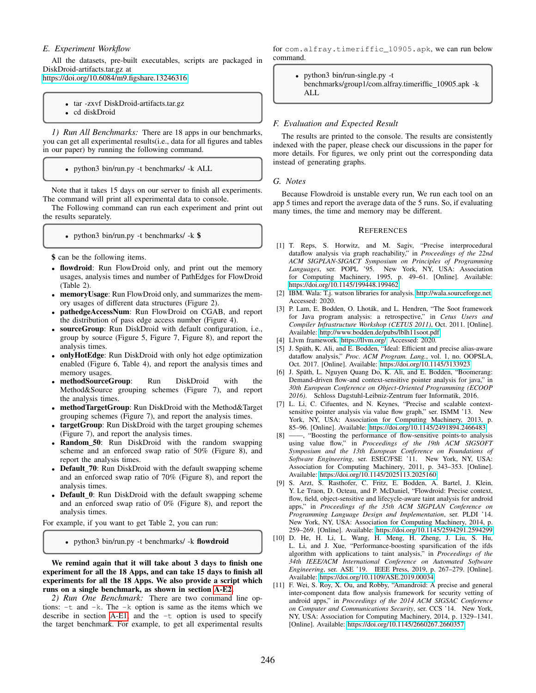## *E. Experiment Workflow*

All the datasets, pre-built executables, scripts are packaged in DiskDroid-artifacts.tar.gz at

[https://doi.org/10.6084/m9.figshare.13246316.](https://doi.org/10.6084/m9.figshare.13246316)

- tar -zxvf DiskDroid-artifacts.tar.gz
- cd diskDroid

<span id="page-10-12"></span>*1) Run All Benchmarks:* There are 18 apps in our benchmarks, you can get all experimental results(i.e., data for all figures and tables in our paper) by running the following command.

• python3 bin/run.py -t benchmarks/ -k ALL

Note that it takes 15 days on our server to finish all experiments. The command will print all experimental data to console.

The Following command can run each experiment and print out the results separately.

• python3 bin/run.py -t benchmarks/ -k \$

\$ can be the following items.

- flowdroid: Run FlowDroid only, and print out the memory usages, analysis times and number of PathEdges for FlowDroid (Table 2).
- memoryUsage: Run FlowDroid only, and summarizes the memory usages of different data structures (Figure 2).
- pathedgeAccessNum: Run FlowDroid on CGAB, and report the distribution of pass edge access number (Figure 4).
- sourceGroup: Run DiskDroid with default configuration, i.e., group by source (Figure 5, Figure 7, Figure 8), and report the analysis times.
- onlyHotEdge: Run DiskDroid with only hot edge optimization enabled (Figure 6, Table 4), and report the analysis times and memory usages.
- methodSourceGroup: Run DiskDroid with the Method&Source grouping schemes (Figure 7), and report the analysis times.
- methodTargetGroup: Run DiskDroid with the Method&Target grouping schemes (Figure 7), and report the analysis times.
- targetGroup: Run DiskDroid with the target grouping schemes (Figure 7), and report the analysis times.
- Random 50: Run DiskDroid with the random swapping scheme and an enforced swap ratio of 50% (Figure 8), and report the analysis times.
- Default\_70: Run DiskDroid with the default swapping scheme and an enforced swap ratio of 70% (Figure 8), and report the analysis times.
- Default\_0: Run DiskDroid with the default swapping scheme and an enforced swap ratio of 0% (Figure 8), and report the analysis times.

For example, if you want to get Table 2, you can run:

• python3 bin/run.py -t benchmarks/ -k flowdroid

We remind again that it will take about 3 days to finish one experiment for all the 18 Apps, and can take 15 days to finish all experiments for all the 18 Apps. We also provide a script which runs on a single benchmark, as shown in section [A-E2.](#page-10-11)

<span id="page-10-11"></span>*2) Run One Benchmark:* There are two command line options: -t and -k. The -k option is same as the items which we describe in section [A-E1,](#page-10-12) and the  $-t$  option is used to specify the target benchmark. For example, to get all experimental results

for com.alfray.timeriffic\_10905.apk, we can run below command.

• python3 bin/run-single.py -t benchmarks/group1/com.alfray.timeriffic 10905.apk -k ALL

## *F. Evaluation and Expected Result*

The results are printed to the console. The results are consistently indexed with the paper, please check our discussions in the paper for more details. For figures, we only print out the corresponding data instead of generating graphs.

#### *G. Notes*

Because Flowdroid is unstable every run, We run each tool on an app 5 times and report the average data of the 5 runs. So, if evaluating many times, the time and memory may be different.

#### **REFERENCES**

- <span id="page-10-0"></span>[1] T. Reps, S. Horwitz, and M. Sagiv, "Precise interprocedural dataflow analysis via graph reachability," in *Proceedings of the 22nd ACM SIGPLAN-SIGACT Symposium on Principles of Programming Languages*, ser. POPL '95. New York, NY, USA: Association for Computing Machinery, 1995, p. 49–61. [Online]. Available: <https://doi.org/10.1145/199448.199462>
- <span id="page-10-1"></span>[2] IBM. Wala: T.j. watson libraries for analysis. [http://wala.sourceforge.net.](http://wala.sourceforge.net) Accessed: 2020.
- <span id="page-10-2"></span>[3] P. Lam, E. Bodden, O. Lhoták, and L. Hendren, "The Soot framework for Java program analysis: a retrospective," in *Cetus Users and Compiler Infrastructure Workshop (CETUS 2011)*, Oct. 2011. [Online]. Available:<http://www.bodden.de/pubs/lblh11soot.pdf>
- <span id="page-10-3"></span>[4] Llvm framework. [https://llvm.org/.](https://llvm.org/) Accessed: 2020.
- <span id="page-10-4"></span>[5] J. Späth, K. Ali, and E. Bodden, "Ideal: Efficient and precise alias-aware dataflow analysis," *Proc. ACM Program. Lang.*, vol. 1, no. OOPSLA, Oct. 2017. [Online]. Available:<https://doi.org/10.1145/3133923>
- <span id="page-10-5"></span>[6] J. Späth, L. Nguyen Quang Do, K. Ali, and E. Bodden, "Boomerang: Demand-driven flow-and context-sensitive pointer analysis for java," in *30th European Conference on Object-Oriented Programming (ECOOP 2016)*. Schloss Dagstuhl-Leibniz-Zentrum fuer Informatik, 2016.
- <span id="page-10-6"></span>[7] L. Li, C. Cifuentes, and N. Keynes, "Precise and scalable contextsensitive pointer analysis via value flow graph," ser. ISMM '13. New York, NY, USA: Association for Computing Machinery, 2013, p. 85–96. [Online]. Available:<https://doi.org/10.1145/2491894.2466483>
- <span id="page-10-7"></span>[8] ——, "Boosting the performance of flow-sensitive points-to analysis using value flow," in *Proceedings of the 19th ACM SIGSOFT Symposium and the 13th European Conference on Foundations of Software Engineering*, ser. ESEC/FSE '11. New York, NY, USA: Association for Computing Machinery, 2011, p. 343–353. [Online]. Available:<https://doi.org/10.1145/2025113.2025160>
- <span id="page-10-8"></span>[9] S. Arzt, S. Rasthofer, C. Fritz, E. Bodden, A. Bartel, J. Klein, Y. Le Traon, D. Octeau, and P. McDaniel, "Flowdroid: Precise context, flow, field, object-sensitive and lifecycle-aware taint analysis for android apps," in *Proceedings of the 35th ACM SIGPLAN Conference on Programming Language Design and Implementation*, ser. PLDI '14. New York, NY, USA: Association for Computing Machinery, 2014, p. 259–269. [Online]. Available:<https://doi.org/10.1145/2594291.2594299>
- <span id="page-10-9"></span>[10] D. He, H. Li, L. Wang, H. Meng, H. Zheng, J. Liu, S. Hu, L. Li, and J. Xue, "Performance-boosting sparsification of the ifds algorithm with applications to taint analysis," in *Proceedings of the 34th IEEE/ACM International Conference on Automated Software Engineering*, ser. ASE '19. IEEE Press, 2019, p. 267–279. [Online]. Available:<https://doi.org/10.1109/ASE.2019.00034>
- <span id="page-10-10"></span>[11] F. Wei, S. Roy, X. Ou, and Robby, "Amandroid: A precise and general inter-component data flow analysis framework for security vetting of android apps," in *Proceedings of the 2014 ACM SIGSAC Conference on Computer and Communications Security*, ser. CCS '14. New York, NY, USA: Association for Computing Machinery, 2014, p. 1329–1341. [Online]. Available:<https://doi.org/10.1145/2660267.2660357>